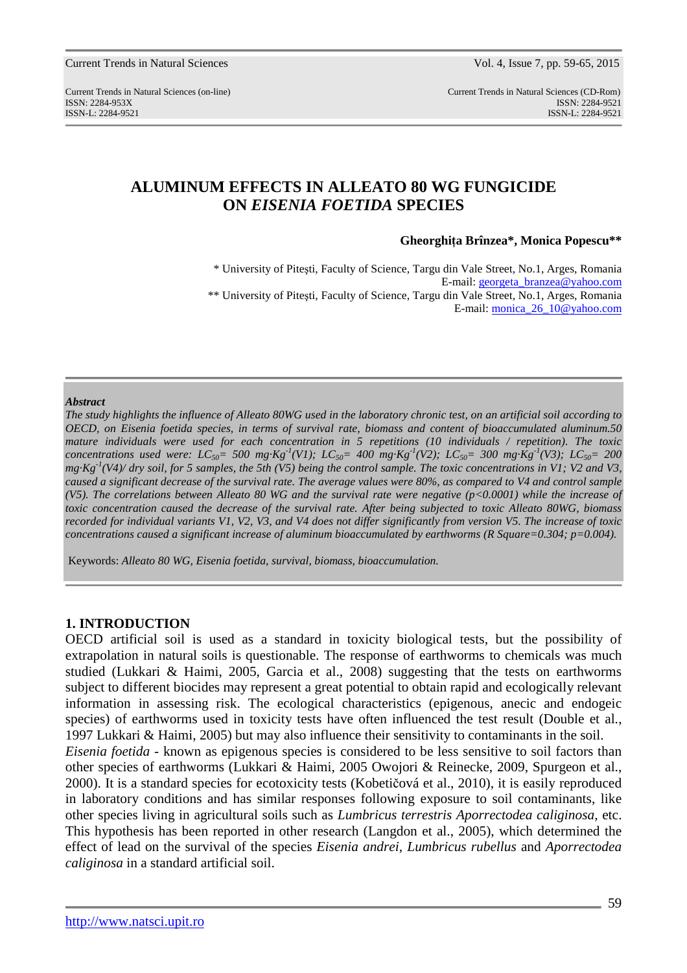# **ALUMINUM EFFECTS IN ALLEATO 80 WG FUNGICIDE ON** *EISENIA FOETIDA* **SPECIES**

**Gheorghiţa Brînzea\*, Monica Popescu\*\*** 

\* University of Piteşti, Faculty of Science, Targu din Vale Street*,* No.1, Arges, Romania E-mail: georgeta\_branzea@yahoo.com \*\* University of Piteşti, Faculty of Science, Targu din Vale Street*,* No.1, Arges, Romania E-mail: monica\_26\_10@yahoo.com

### *Abstract*

*The study highlights the influence of Alleato 80WG used in the laboratory chronic test, on an artificial soil according to OECD, on Eisenia foetida species, in terms of survival rate, biomass and content of bioaccumulated aluminum.50 mature individuals were used for each concentration in 5 repetitions (10 individuals / repetition)*. *The toxic concentrations used were:*  $LC_{50}$  = 500 mg·Kg<sup>-1</sup>(V1);  $LC_{50}$  = 400 mg·Kg<sup>-1</sup>(V2);  $LC_{50}$  = 300 mg·Kg<sup>-1</sup>(V3);  $LC_{50}$  = 200 *mg·Kg-1(V4)/ dry soil, for 5 samples, the 5th (V5) being the control sample. The toxic concentrations in V1; V2 and V3, caused a significant decrease of the survival rate. The average values were 80%, as compared to V4 and control sample (V5). The correlations between Alleato 80 WG and the survival rate were negative (p<0.0001) while the increase of toxic concentration caused the decrease of the survival rate. After being subjected to toxic Alleato 80WG, biomass recorded for individual variants V1, V2, V3, and V4 does not differ significantly from version V5. The increase of toxic concentrations caused a significant increase of aluminum bioaccumulated by earthworms (R Square=0.304; p=0.004).* 

Keywords: *Alleato 80 WG, Eisenia foetida, survival, biomass, bioaccumulation.* 

### **1. INTRODUCTION**

OECD artificial soil is used as a standard in toxicity biological tests, but the possibility of extrapolation in natural soils is questionable. The response of earthworms to chemicals was much studied (Lukkari & Haimi, 2005, Garcia et al., 2008) suggesting that the tests on earthworms subject to different biocides may represent a great potential to obtain rapid and ecologically relevant information in assessing risk. The ecological characteristics (epigenous, anecic and endogeic species) of earthworms used in toxicity tests have often influenced the test result (Double et al., 1997 Lukkari & Haimi, 2005) but may also influence their sensitivity to contaminants in the soil. *Eisenia foetida* - known as epigenous species is considered to be less sensitive to soil factors than other species of earthworms (Lukkari & Haimi, 2005 Owojori & Reinecke, 2009, Spurgeon et al., 2000). It is a standard species for ecotoxicity tests (Kobetičová et al., 2010), it is easily reproduced in laboratory conditions and has similar responses following exposure to soil contaminants, like other species living in agricultural soils such as *Lumbricus terrestris Aporrectodea caliginosa,* etc. This hypothesis has been reported in other research (Langdon et al., 2005), which determined the effect of lead on the survival of the species *Eisenia andrei, Lumbricus rubellus* and *Aporrectodea caliginosa* in a standard artificial soil.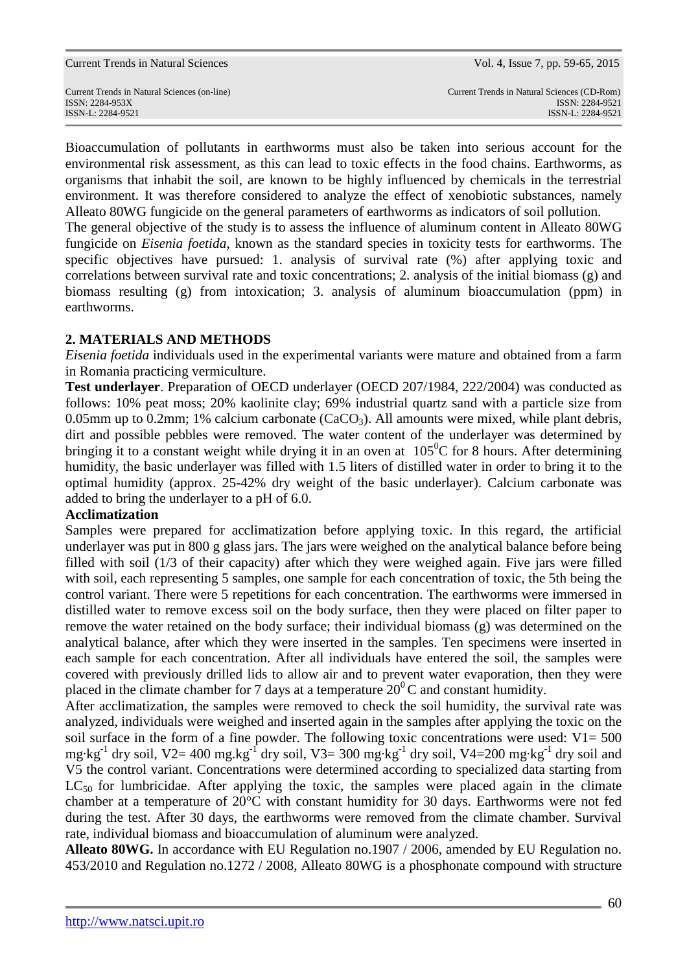| <b>Current Trends in Natural Sciences</b> |  |  |  |
|-------------------------------------------|--|--|--|
|-------------------------------------------|--|--|--|

Bioaccumulation of pollutants in earthworms must also be taken into serious account for the environmental risk assessment, as this can lead to toxic effects in the food chains. Earthworms, as organisms that inhabit the soil, are known to be highly influenced by chemicals in the terrestrial environment. It was therefore considered to analyze the effect of xenobiotic substances, namely Alleato 80WG fungicide on the general parameters of earthworms as indicators of soil pollution.

The general objective of the study is to assess the influence of aluminum content in Alleato 80WG fungicide on *Eisenia foetida*, known as the standard species in toxicity tests for earthworms. The specific objectives have pursued: 1. analysis of survival rate (%) after applying toxic and correlations between survival rate and toxic concentrations; 2. analysis of the initial biomass (g) and biomass resulting (g) from intoxication; 3. analysis of aluminum bioaccumulation (ppm) in earthworms.

# **2. MATERIALS AND METHODS**

*Eisenia foetida* individuals used in the experimental variants were mature and obtained from a farm in Romania practicing vermiculture.

**Test underlayer**. Preparation of OECD underlayer (OECD 207/1984, 222/2004) was conducted as follows: 10% peat moss; 20% kaolinite clay; 69% industrial quartz sand with a particle size from 0.05mm up to 0.2mm; 1% calcium carbonate  $(CaCO<sub>3</sub>)$ . All amounts were mixed, while plant debris, dirt and possible pebbles were removed. The water content of the underlayer was determined by bringing it to a constant weight while drying it in an oven at  $105^{\circ}$ C for 8 hours. After determining humidity, the basic underlayer was filled with 1.5 liters of distilled water in order to bring it to the optimal humidity (approx. 25-42% dry weight of the basic underlayer). Calcium carbonate was added to bring the underlayer to a pH of 6.0.

# **Acclimatization**

Samples were prepared for acclimatization before applying toxic. In this regard, the artificial underlayer was put in 800 g glass jars. The jars were weighed on the analytical balance before being filled with soil (1/3 of their capacity) after which they were weighed again. Five jars were filled with soil, each representing 5 samples, one sample for each concentration of toxic, the 5th being the control variant. There were 5 repetitions for each concentration. The earthworms were immersed in distilled water to remove excess soil on the body surface, then they were placed on filter paper to remove the water retained on the body surface; their individual biomass (g) was determined on the analytical balance, after which they were inserted in the samples. Ten specimens were inserted in each sample for each concentration. After all individuals have entered the soil, the samples were covered with previously drilled lids to allow air and to prevent water evaporation, then they were placed in the climate chamber for 7 days at a temperature  $20^0$ C and constant humidity.

After acclimatization, the samples were removed to check the soil humidity, the survival rate was analyzed, individuals were weighed and inserted again in the samples after applying the toxic on the soil surface in the form of a fine powder. The following toxic concentrations were used:  $V1 = 500$ mg·kg<sup>-1</sup> dry soil, V2= 400 mg.kg<sup>-1</sup> dry soil, V3= 300 mg·kg<sup>-1</sup> dry soil, V4=200 mg·kg<sup>-1</sup> dry soil and V5 the control variant. Concentrations were determined according to specialized data starting from  $LC_{50}$  for lumbricidae. After applying the toxic, the samples were placed again in the climate chamber at a temperature of 20°C with constant humidity for 30 days. Earthworms were not fed during the test. After 30 days, the earthworms were removed from the climate chamber. Survival rate, individual biomass and bioaccumulation of aluminum were analyzed.

**Alleato 80WG.** In accordance with EU Regulation no.1907 / 2006, amended by EU Regulation no. 453/2010 and Regulation no.1272 / 2008, Alleato 80WG is a phosphonate compound with structure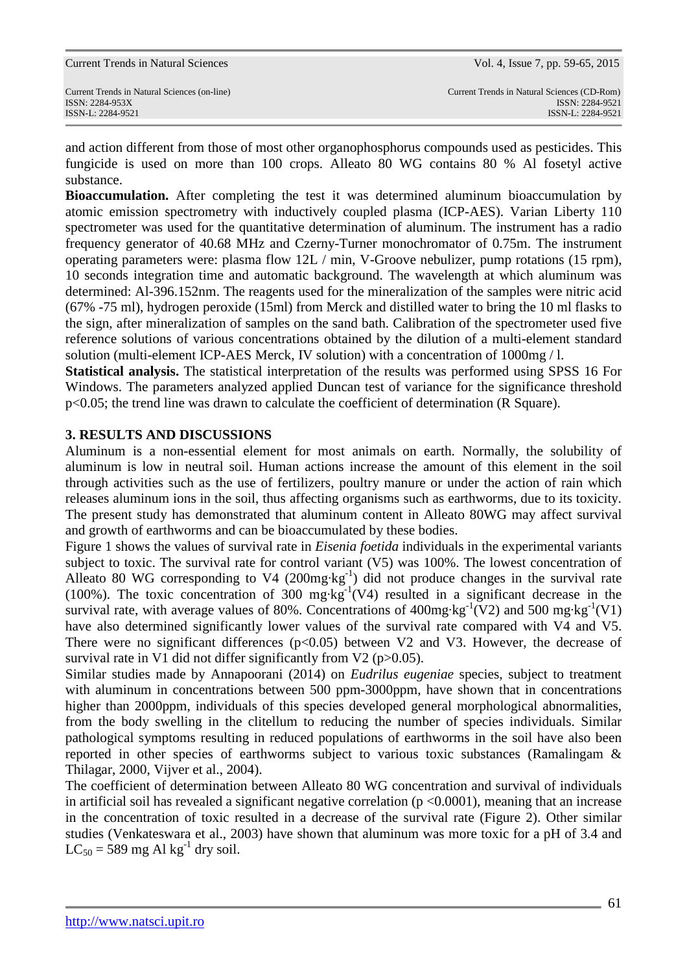$LC_{50} = 589$  mg Al kg<sup>-1</sup> dry soil.

http://www.natsci.upit.ro

fungicide is used on more than 100 crops. Alleato 80 WG contains 80 % Al fosetyl active

substance.

**Bioaccumulation.** After completing the test it was determined aluminum bioaccumulation by atomic emission spectrometry with inductively coupled plasma (ICP-AES). Varian Liberty 110 spectrometer was used for the quantitative determination of aluminum. The instrument has a radio frequency generator of 40.68 MHz and Czerny-Turner monochromator of 0.75m. The instrument operating parameters were: plasma flow 12L / min, V-Groove nebulizer, pump rotations (15 rpm), 10 seconds integration time and automatic background. The wavelength at which aluminum was determined: Al-396.152nm. The reagents used for the mineralization of the samples were nitric acid (67% -75 ml), hydrogen peroxide (15ml) from Merck and distilled water to bring the 10 ml flasks to the sign, after mineralization of samples on the sand bath. Calibration of the spectrometer used five reference solutions of various concentrations obtained by the dilution of a multi-element standard solution (multi-element ICP-AES Merck, IV solution) with a concentration of 1000mg / l.

and action different from those of most other organophosphorus compounds used as pesticides. This

**Statistical analysis.** The statistical interpretation of the results was performed using SPSS 16 For Windows. The parameters analyzed applied Duncan test of variance for the significance threshold p<0.05; the trend line was drawn to calculate the coefficient of determination (R Square).

# **3. RESULTS AND DISCUSSIONS**

Aluminum is a non-essential element for most animals on earth. Normally, the solubility of aluminum is low in neutral soil. Human actions increase the amount of this element in the soil through activities such as the use of fertilizers, poultry manure or under the action of rain which releases aluminum ions in the soil, thus affecting organisms such as earthworms, due to its toxicity. The present study has demonstrated that aluminum content in Alleato 80WG may affect survival and growth of earthworms and can be bioaccumulated by these bodies.

Figure 1 shows the values of survival rate in *Eisenia foetida* individuals in the experimental variants subject to toxic. The survival rate for control variant (V5) was 100%. The lowest concentration of Alleato 80 WG corresponding to V4  $(200mg \text{kg}^{-1})$  did not produce changes in the survival rate (100%). The toxic concentration of 300 mg·kg<sup>-1</sup>(V4) resulted in a significant decrease in the survival rate, with average values of 80%. Concentrations of 400mg·kg<sup>-1</sup>(V2) and 500 mg·kg<sup>-1</sup>(V1) have also determined significantly lower values of the survival rate compared with V4 and V5. There were no significant differences  $(p<0.05)$  between V2 and V3. However, the decrease of survival rate in V1 did not differ significantly from V2 ( $p > 0.05$ ).

Similar studies made by Annapoorani (2014) on *Eudrilus eugeniae* species, subject to treatment with aluminum in concentrations between 500 ppm-3000ppm, have shown that in concentrations higher than 2000ppm, individuals of this species developed general morphological abnormalities, from the body swelling in the clitellum to reducing the number of species individuals. Similar pathological symptoms resulting in reduced populations of earthworms in the soil have also been reported in other species of earthworms subject to various toxic substances (Ramalingam & Thilagar, 2000, Vijver et al., 2004).

The coefficient of determination between Alleato 80 WG concentration and survival of individuals in artificial soil has revealed a significant negative correlation ( $p < 0.0001$ ), meaning that an increase in the concentration of toxic resulted in a decrease of the survival rate (Figure 2). Other similar

Current Trends in Natural Sciences Vol. 4, Issue 7, pp. 59-65, 2015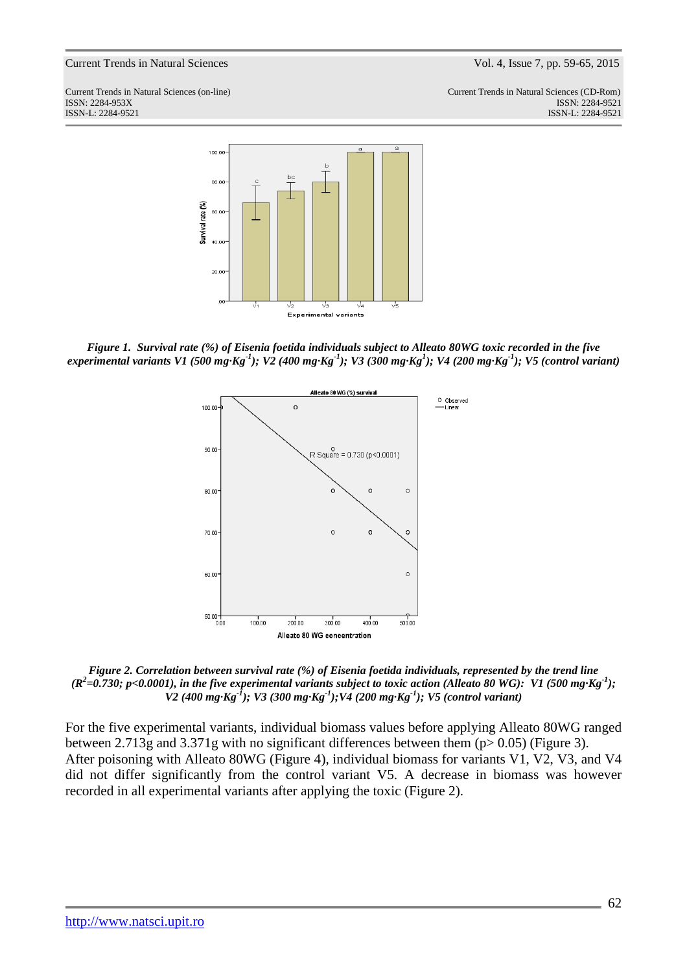Current Trends in Natural Sciences (on-line) Current Trends in Natural Sciences (CD-Rom) ISSN: 2284-953XISSN: 2284-9521 ISSN-L: 2284-9521 ISSN-L: 2284-9521



*Figure 1. Survival rate (%) of Eisenia foetida individuals subject to Alleato 80WG toxic recorded in the five experimental variants V1 (500 mg·Kg-1); V2 (400 mg·Kg-1); V3 (300 mg·Kg<sup>1</sup> ); V4 (200 mg·Kg-1); V5 (control variant)* 



*Figure 2. Correlation between survival rate (%) of Eisenia foetida individuals, represented by the trend line*   $(R^2$ =0.730; p<0.0001), in the five experimental variants subject to toxic action (Alleato 80 WG): V1 (500 mg·Kg<sup>-1</sup>); *V2 (400 mg·Kg-1); V3 (300 mg·Kg-1);V4 (200 mg·Kg-1); V5 (control variant)* 

For the five experimental variants, individual biomass values before applying Alleato 80WG ranged between 2.713g and 3.371g with no significant differences between them (p> 0.05) (Figure 3). After poisoning with Alleato 80WG (Figure 4), individual biomass for variants V1, V2, V3, and V4 did not differ significantly from the control variant V5. A decrease in biomass was however recorded in all experimental variants after applying the toxic (Figure 2).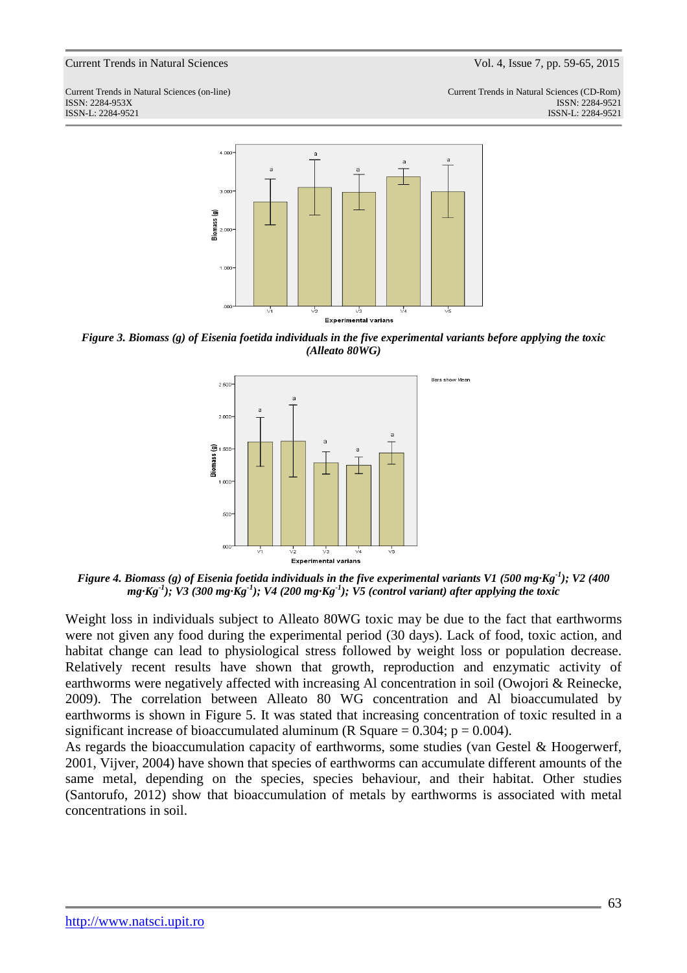

*Figure 3. Biomass (g) of Eisenia foetida individuals in the five experimental variants before applying the toxic (Alleato 80WG)* 



*Figure 4. Biomass (g) of Eisenia foetida individuals in the five experimental variants V1 (500 mg·Kg-1); V2 (400 mg·Kg-1); V3 (300 mg·Kg-1); V4 (200 mg·Kg-1); V5 (control variant) after applying the toxic* 

Weight loss in individuals subject to Alleato 80WG toxic may be due to the fact that earthworms were not given any food during the experimental period (30 days). Lack of food, toxic action, and habitat change can lead to physiological stress followed by weight loss or population decrease. Relatively recent results have shown that growth, reproduction and enzymatic activity of earthworms were negatively affected with increasing Al concentration in soil (Owojori & Reinecke, 2009). The correlation between Alleato 80 WG concentration and Al bioaccumulated by earthworms is shown in Figure 5. It was stated that increasing concentration of toxic resulted in a significant increase of bioaccumulated aluminum (R Square  $= 0.304$ ; p  $= 0.004$ ).

As regards the bioaccumulation capacity of earthworms, some studies (van Gestel & Hoogerwerf, 2001, Vijver, 2004) have shown that species of earthworms can accumulate different amounts of the same metal, depending on the species, species behaviour, and their habitat. Other studies (Santorufo, 2012) show that bioaccumulation of metals by earthworms is associated with metal concentrations in soil.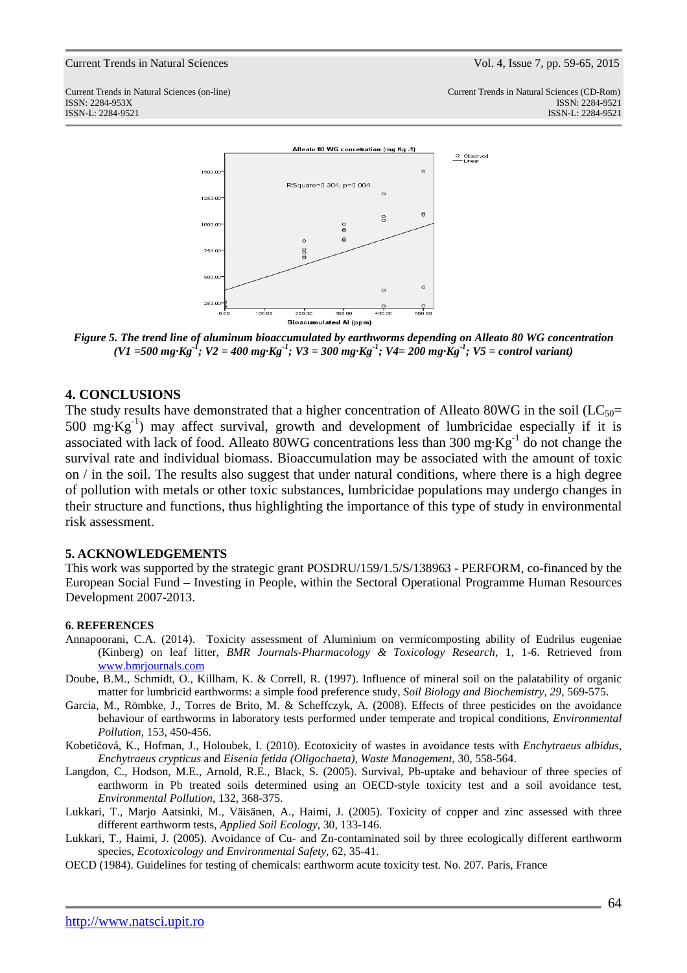

*Figure 5. The trend line of aluminum bioaccumulated by earthworms depending on Alleato 80 WG concentration (V1 =500 mg·Kg-1; V2 = 400 mg·Kg-1; V3 = 300 mg·Kg-1; V4= 200 mg·Kg-1; V5 = control variant)* 

### **4. CONCLUSIONS**

The study results have demonstrated that a higher concentration of Alleato 80WG in the soil ( $LC_{50}=$ 500 mg·Kg<sup>-1</sup>) may affect survival, growth and development of lumbricidae especially if it is associated with lack of food. Alleato 80WG concentrations less than 300 mg $Kg^{-1}$  do not change the survival rate and individual biomass. Bioaccumulation may be associated with the amount of toxic on / in the soil. The results also suggest that under natural conditions, where there is a high degree of pollution with metals or other toxic substances, lumbricidae populations may undergo changes in their structure and functions, thus highlighting the importance of this type of study in environmental risk assessment.

### **5. ACKNOWLEDGEMENTS**

This work was supported by the strategic grant POSDRU/159/1.5/S/138963 - PERFORM, co-financed by the European Social Fund – Investing in People, within the Sectoral Operational Programme Human Resources Development 2007-2013.

#### **6. REFERENCES**

- Annapoorani, C.A. (2014). Toxicity assessment of Aluminium on vermicomposting ability of Eudrilus eugeniae (Kinberg) on leaf litter, *BMR Journals-Pharmacology & Toxicology Research,* 1, 1-6. Retrieved from www.bmrjournals.com
- Doube, B.M., Schmidt, O., Killham, K. & Correll, R. (1997). Influence of mineral soil on the palatability of organic matter for lumbricid earthworms: a simple food preference study, *Soil Biology and Biochemistry, 29*, 569-575.
- Garcia, M., Römbke, J., Torres de Brito, M. & Scheffczyk, A. (2008). Effects of three pesticides on the avoidance behaviour of earthworms in laboratory tests performed under temperate and tropical conditions, *Environmental Pollution,* 153, 450-456.
- Kobetičová, K., Hofman, J., Holoubek, I. (2010). Ecotoxicity of wastes in avoidance tests with *Enchytraeus albidus, Enchytraeus crypticus* and *Eisenia fetida (Oligochaeta), Waste Management*, 30, 558-564.
- Langdon, C., Hodson, M.E., Arnold, R.E., Black, S. (2005). Survival, Pb-uptake and behaviour of three species of earthworm in Pb treated soils determined using an OECD-style toxicity test and a soil avoidance test, *Environmental Pollution*, 132, 368-375.
- Lukkari, T., Marjo Aatsinki, M., Väisänen, A., Haimi, J. (2005). Toxicity of copper and zinc assessed with three different earthworm tests, *Applied Soil Ecology*, 30, 133-146.
- Lukkari, T., Haimi, J. (2005). Avoidance of Cu- and Zn-contaminated soil by three ecologically different earthworm species, *Ecotoxicology and Environmental Safety*, 62, 35-41.
- OECD (1984). Guidelines for testing of chemicals: earthworm acute toxicity test. No. 207*.* Paris, France